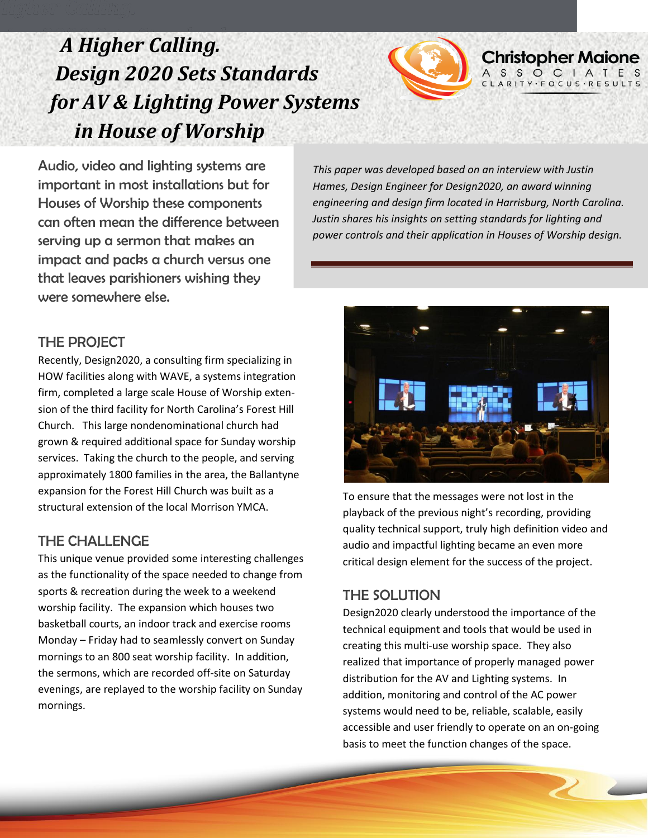## *A Higher Calling. Design 2020 Sets Standards for AV & Lighting Power Systems in House of Worship*



Audio, video and lighting systems are important in most installations but for Houses of Worship these components can often mean the difference between serving up a sermon that makes an impact and packs a church versus one that leaves parishioners wishing they were somewhere else.

*This paper was developed based on an interview with Justin Hames, Design Engineer for Design2020, an award winning engineering and design firm located in Harrisburg, North Carolina. Justin shares his insights on setting standards for lighting and power controls and their application in Houses of Worship design.* 

#### THE PROJECT

Recently, Design2020, a consulting firm specializing in HOW facilities along with WAVE, a systems integration firm, completed a large scale House of Worship extension of the third facility for North Carolina's Forest Hill Church. This large nondenominational church had grown & required additional space for Sunday worship services. Taking the church to the people, and serving approximately 1800 families in the area, the Ballantyne expansion for the Forest Hill Church was built as a structural extension of the local Morrison YMCA.

#### THE CHALLENGE

This unique venue provided some interesting challenges as the functionality of the space needed to change from sports & recreation during the week to a weekend worship facility. The expansion which houses two basketball courts, an indoor track and exercise rooms Monday – Friday had to seamlessly convert on Sunday mornings to an 800 seat worship facility. In addition, the sermons, which are recorded off-site on Saturday evenings, are replayed to the worship facility on Sunday mornings.



To ensure that the messages were not lost in the playback of the previous night's recording, providing quality technical support, truly high definition video and audio and impactful lighting became an even more critical design element for the success of the project.

### THE SOLUTION

Design2020 clearly understood the importance of the technical equipment and tools that would be used in creating this multi-use worship space. They also realized that importance of properly managed power distribution for the AV and Lighting systems. In addition, monitoring and control of the AC power systems would need to be, reliable, scalable, easily accessible and user friendly to operate on an on-going basis to meet the function changes of the space.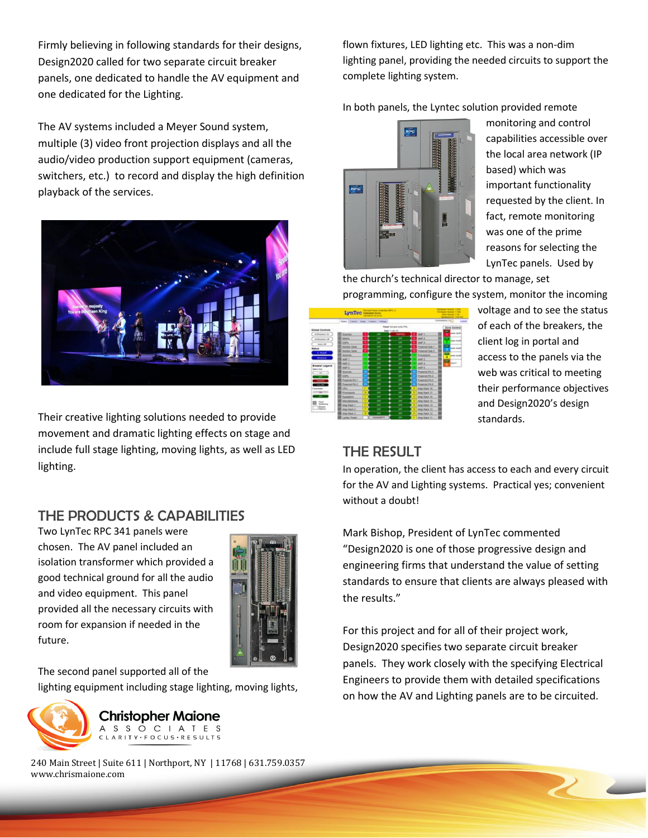Firmly believing in following standards for their designs, Design2020 called for two separate circuit breaker panels, one dedicated to handle the AV equipment and one dedicated for the Lighting.

The AV systems included a Meyer Sound system, multiple (3) video front projection displays and all the audio/video production support equipment (cameras, switchers, etc.) to record and display the high definition playback of the services.



Their creative lighting solutions needed to provide movement and dramatic lighting effects on stage and include full stage lighting, moving lights, as well as LED lighting.

### THE PRODUCTS & CAPABILITIES

Two LynTec RPC 341 panels were chosen. The AV panel included an isolation transformer which provided a good technical ground for all the audio and video equipment. This panel provided all the necessary circuits with room for expansion if needed in the future.



The second panel supported all of the

lighting equipment including stage lighting, moving lights,



**Christopher Maione** A S S O C I A T E S ARITY · FOCUS · RESULTS

240 Main Street | Suite 611 | Northport, NY | 11768 | 631.759.0357 www.chrismaione.com

flown fixtures, LED lighting etc. This was a non-dim lighting panel, providing the needed circuits to support the complete lighting system.

In both panels, the Lyntec solution provided remote



monitoring and control capabilities accessible over the local area network (IP based) which was important functionality requested by the client. In fact, remote monitoring was one of the prime reasons for selecting the LynTec panels. Used by

the church's technical director to manage, set programming, configure the system, monitor the incoming

| LynTec ---------                                     |                                            |  |                                                    |               |  |                              | <b><i><i><u><b>RESERVE 1504</b></u></i></i></b><br><b>Learn military 1.156</b><br>115.747 |                                  |
|------------------------------------------------------|--------------------------------------------|--|----------------------------------------------------|---------------|--|------------------------------|-------------------------------------------------------------------------------------------|----------------------------------|
|                                                      | <b>Notes Eastern Seller Claring School</b> |  |                                                    |               |  |                              |                                                                                           | Complete (TC)<br><b>List</b>     |
| <b>Johat Controls</b>                                |                                            |  | Flassel Sarrais turks PPS.<br><b>Bake Avias NV</b> |               |  | <b>Zone Corero</b>           |                                                                                           |                                  |
| <b>M Sheakers On</b>                                 | ю<br><b>Stattes</b>                        |  | <b>CM</b>                                          | <b>SHARES</b> |  | Addr. t.                     |                                                                                           | <b><i><u>Inches Acce</u></i></b> |
| <b>Id Streams</b> LB                                 | 脏<br>Shary                                 |  | <b>Card</b>                                        | w             |  | Abd <sup>2</sup> 2           | Ŵ                                                                                         | w                                |
| <b>PARK OR</b>                                       | 285                                        |  | ÷                                                  | <b>OFF</b>    |  | AMP <sup>1</sup> .3          |                                                                                           | halls fami                       |
| <b>MARK</b>                                          | <b>Kinning Data</b>                        |  | <b>SHOP</b>                                        | <b>COL</b>    |  | <b>Powered Suit 1</b>        |                                                                                           | ۰<br><b>Lot for</b>              |
| <b>E. Model</b>                                      | <b>SAVING CANE</b>                         |  | $\overline{\phantom{a}}$                           | <b>TAN</b>    |  | <b>First</b><br>ed Tolk 3    |                                                                                           |                                  |
|                                                      | <b>BORDER</b>                              |  | ias                                                | <b>COL</b>    |  | <b>Produktion</b>            |                                                                                           | Ξ<br><b>Business</b><br>4        |
| <b>Winnipeg</b>                                      | ASAF 1                                     |  | ä,                                                 | in.           |  | ANA-3                        |                                                                                           | ×                                |
|                                                      | AAAP K                                     |  | ×                                                  | ◆             |  | AMP AT                       |                                                                                           | <b>Dent O</b>                    |
| <b>InsterLepent</b><br><b><i><u>SAGI INA</u></i></b> | AAP-5                                      |  | m                                                  | œ             |  | MAP 5                        |                                                                                           |                                  |
| $\overline{ }$                                       | <b>SIGHT49</b>                             |  | ÷                                                  | m             |  | <b>Floormet FA 15</b>        |                                                                                           |                                  |
| $\overline{\phantom{a}}$                             | <b>ISO</b>                                 |  | ÷                                                  |               |  | <b>Finance</b><br>4479.8     |                                                                                           |                                  |
| $\overline{\phantom{a}}$                             | <b>Friedrich Fig. 1</b>                    |  | $\rightarrow$                                      | <b>SPR</b>    |  | <b><i>Program W.A.S.</i></b> |                                                                                           |                                  |
| $\sim$                                               | <b>Upproved PA.2</b>                       |  | ÷                                                  | 199           |  | Puterme PA.6                 |                                                                                           |                                  |
| Institute                                            | œ                                          |  | w                                                  |               |  | Any Hack 15                  |                                                                                           |                                  |
| $\equiv$                                             | Processors                                 |  | w                                                  | <b>TOP</b>    |  | Amy like a 17                |                                                                                           |                                  |
|                                                      | $-1$<br>٠                                  |  | ۰                                                  | w             |  | Any Rain 16                  |                                                                                           |                                  |
|                                                      | <b><i><u>Silver administration</u></i></b> |  | w                                                  | m             |  | Any Date 19                  |                                                                                           |                                  |
| $\frac{m}{2}$                                        | Ang mack 1                                 |  | ÷                                                  | œ             |  | Ang Rale 14                  |                                                                                           |                                  |
| <b>Busiel</b>                                        | Ainy Stark 2                               |  | ÷                                                  | w             |  | Any Rack 13                  |                                                                                           |                                  |
|                                                      | Ainji riuste ti                            |  | $\cdots$                                           | m             |  | Ang reart 12                 |                                                                                           |                                  |
|                                                      | A serious Drivers                          |  | <b><i>SERVICE MARTIN</i></b>                       |               |  | Allege Sharin in L.          |                                                                                           |                                  |

voltage and to see the status of each of the breakers, the client log in portal and access to the panels via the web was critical to meeting their performance objectives and Design2020's design standards.

### THE RESULT

In operation, the client has access to each and every circuit for the AV and Lighting systems. Practical yes; convenient without a doubt!

Mark Bishop, President of LynTec commented "Design2020 is one of those progressive design and engineering firms that understand the value of setting standards to ensure that clients are always pleased with the results."

For this project and for all of their project work, Design2020 specifies two separate circuit breaker panels. They work closely with the specifying Electrical Engineers to provide them with detailed specifications on how the AV and Lighting panels are to be circuited.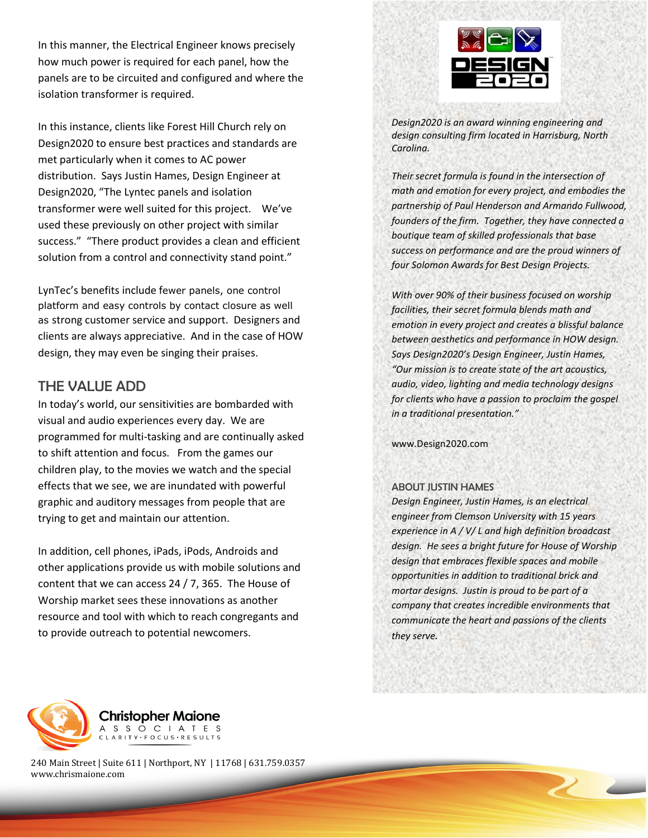In this manner, the Electrical Engineer knows precisely how much power is required for each panel, how the panels are to be circuited and configured and where the isolation transformer is required.

In this instance, clients like Forest Hill Church rely on Design2020 to ensure best practices and standards are met particularly when it comes to AC power distribution. Says Justin Hames, Design Engineer at Design2020, "The Lyntec panels and isolation transformer were well suited for this project. We've used these previously on other project with similar success." "There product provides a clean and efficient solution from a control and connectivity stand point."

LynTec's benefits include fewer panels, one control platform and easy controls by contact closure as well as strong customer service and support. Designers and clients are always appreciative. And in the case of HOW design, they may even be singing their praises.

#### THE VALUE ADD

In today's world, our sensitivities are bombarded with visual and audio experiences every day. We are programmed for multi-tasking and are continually asked to shift attention and focus. From the games our children play, to the movies we watch and the special effects that we see, we are inundated with powerful graphic and auditory messages from people that are trying to get and maintain our attention.

In addition, cell phones, iPads, iPods, Androids and other applications provide us with mobile solutions and content that we can access 24 / 7, 365. The House of Worship market sees these innovations as another resource and tool with which to reach congregants and to provide outreach to potential newcomers.



*Design2020 is an award winning engineering and design consulting firm located in Harrisburg, North Carolina.* 

*Their secret formula is found in the intersection of math and emotion for every project, and embodies the partnership of Paul Henderson and Armando Fullwood, founders of the firm. Together, they have connected a boutique team of skilled professionals that base success on performance and are the proud winners of four Solomon Awards for Best Design Projects.*

*With over 90% of their business focused on worship facilities, their secret formula blends math and emotion in every project and creates a blissful balance between aesthetics and performance in HOW design. Says Design2020's Design Engineer, Justin Hames, "Our mission is to create state of the art acoustics, audio, video, lighting and media technology designs for clients who have a passion to proclaim the gospel in a traditional presentation."*

www.Design2020.com

#### ABOUT JUSTIN HAMES

*Design Engineer, Justin Hames, is an electrical engineer from Clemson University with 15 years experience in A / V/ L and high definition broadcast design. He sees a bright future for House of Worship design that embraces flexible spaces and mobile opportunities in addition to traditional brick and mortar designs. Justin is proud to be part of a company that creates incredible environments that communicate the heart and passions of the clients they serve.*

 $\overline{2}$ 



**Christopher Maione** A S S O C I A T E S ARITY · FOCUS · RESULTS

240 Main Street | Suite 611 | Northport, NY | 11768 | 631.759.0357 www.chrismaione.com